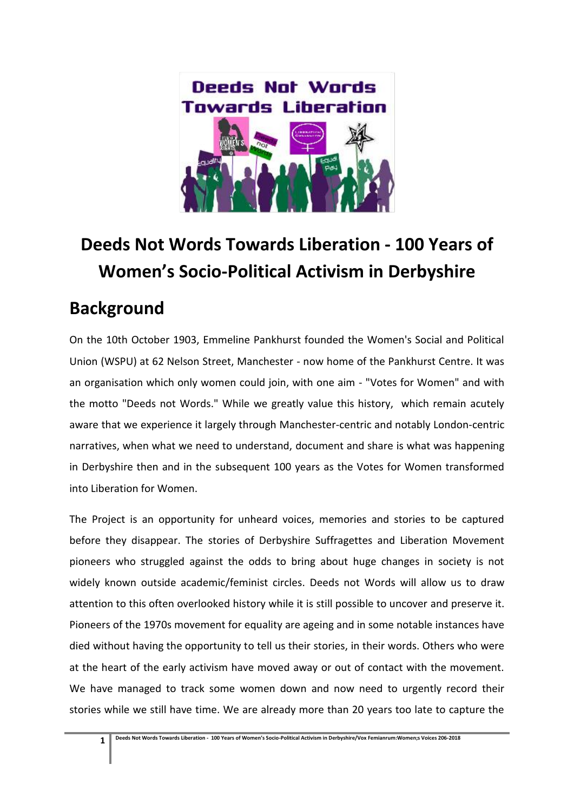

## **Deeds Not Words Towards Liberation - 100 Years of Women's Socio-Political Activism in Derbyshire**

## **Background**

On the 10th October 1903, Emmeline Pankhurst founded the Women's Social and Political Union (WSPU) at 62 Nelson Street, Manchester - now home of the Pankhurst Centre. It was an organisation which only women could join, with one aim - "Votes for Women" and with the motto "Deeds not Words." While we greatly value this history, which remain acutely aware that we experience it largely through Manchester-centric and notably London-centric narratives, when what we need to understand, document and share is what was happening in Derbyshire then and in the subsequent 100 years as the Votes for Women transformed into Liberation for Women.

The Project is an opportunity for unheard voices, memories and stories to be captured before they disappear. The stories of Derbyshire Suffragettes and Liberation Movement pioneers who struggled against the odds to bring about huge changes in society is not widely known outside academic/feminist circles. Deeds not Words will allow us to draw attention to this often overlooked history while it is still possible to uncover and preserve it. Pioneers of the 1970s movement for equality are ageing and in some notable instances have died without having the opportunity to tell us their stories, in their words. Others who were at the heart of the early activism have moved away or out of contact with the movement. We have managed to track some women down and now need to urgently record their stories while we still have time. We are already more than 20 years too late to capture the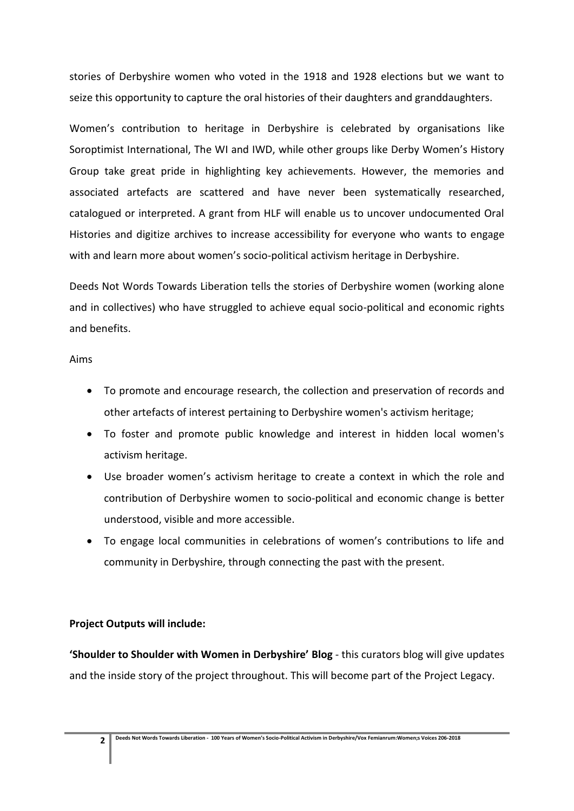stories of Derbyshire women who voted in the 1918 and 1928 elections but we want to seize this opportunity to capture the oral histories of their daughters and granddaughters.

Women's contribution to heritage in Derbyshire is celebrated by organisations like Soroptimist International, The WI and IWD, while other groups like Derby Women's History Group take great pride in highlighting key achievements. However, the memories and associated artefacts are scattered and have never been systematically researched, catalogued or interpreted. A grant from HLF will enable us to uncover undocumented Oral Histories and digitize archives to increase accessibility for everyone who wants to engage with and learn more about women's socio-political activism heritage in Derbyshire.

Deeds Not Words Towards Liberation tells the stories of Derbyshire women (working alone and in collectives) who have struggled to achieve equal socio-political and economic rights and benefits.

## Aims

- To promote and encourage research, the collection and preservation of records and other artefacts of interest pertaining to Derbyshire women's activism heritage;
- To foster and promote public knowledge and interest in hidden local women's activism heritage.
- Use broader women's activism heritage to create a context in which the role and contribution of Derbyshire women to socio-political and economic change is better understood, visible and more accessible.
- To engage local communities in celebrations of women's contributions to life and community in Derbyshire, through connecting the past with the present.

## **Project Outputs will include:**

**'Shoulder to Shoulder with Women in Derbyshire' Blog** - this curators blog will give updates and the inside story of the project throughout. This will become part of the Project Legacy.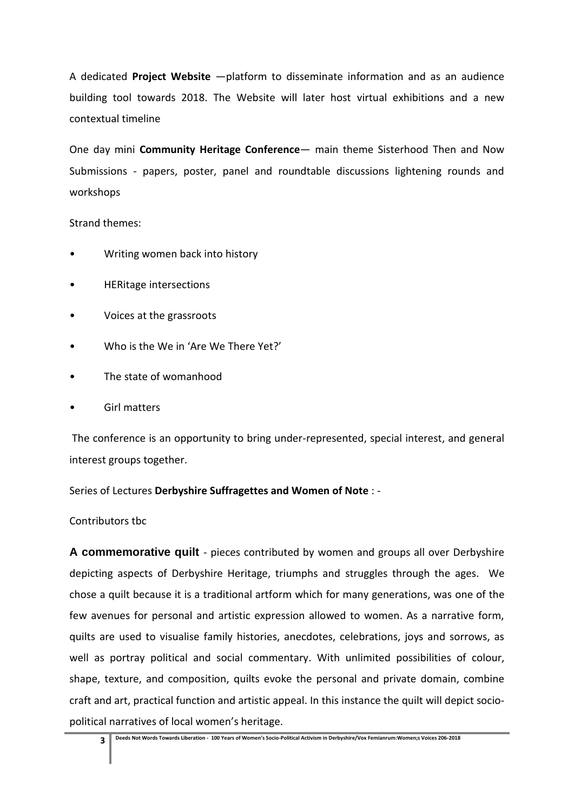A dedicated **Project Website** —platform to disseminate information and as an audience building tool towards 2018. The Website will later host virtual exhibitions and a new contextual timeline

One day mini **Community Heritage Conference**— main theme Sisterhood Then and Now Submissions - papers, poster, panel and roundtable discussions lightening rounds and workshops

Strand themes:

- Writing women back into history
- HERitage intersections
- Voices at the grassroots
- Who is the We in 'Are We There Yet?'
- The state of womanhood
- Girl matters

The conference is an opportunity to bring under-represented, special interest, and general interest groups together.

Series of Lectures **Derbyshire Suffragettes and Women of Note** : -

Contributors tbc

**A commemorative quilt** - pieces contributed by women and groups all over Derbyshire depicting aspects of Derbyshire Heritage, triumphs and struggles through the ages. We chose a quilt because it is a traditional artform which for many generations, was one of the few avenues for personal and artistic expression allowed to women. As a narrative form, quilts are used to visualise family histories, anecdotes, celebrations, joys and sorrows, as well as portray political and social commentary. With unlimited possibilities of colour, shape, texture, and composition, quilts evoke the personal and private domain, combine craft and art, practical function and artistic appeal. In this instance the quilt will depict sociopolitical narratives of local women's heritage.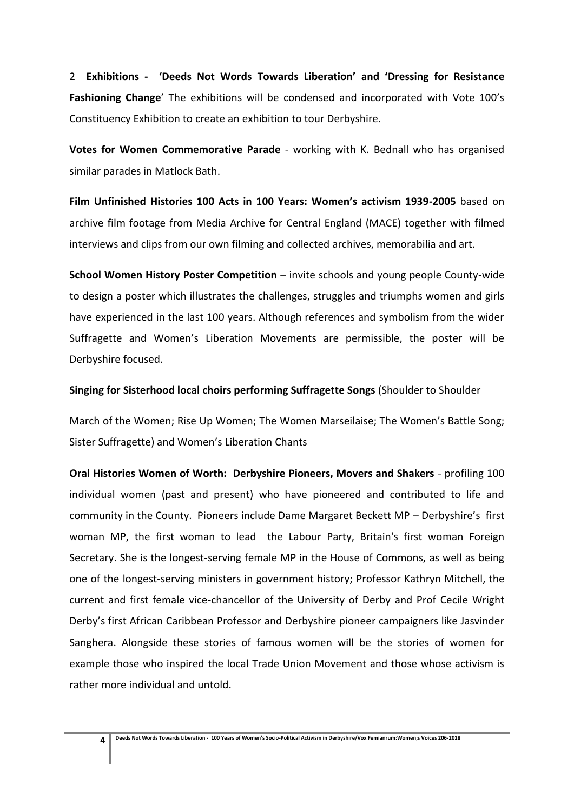2 **Exhibitions - 'Deeds Not Words Towards Liberation' and 'Dressing for Resistance Fashioning Change**' The exhibitions will be condensed and incorporated with Vote 100's Constituency Exhibition to create an exhibition to tour Derbyshire.

**Votes for Women Commemorative Parade** - working with K. Bednall who has organised similar parades in Matlock Bath.

**Film Unfinished Histories 100 Acts in 100 Years: Women's activism 1939-2005** based on archive film footage from Media Archive for Central England (MACE) together with filmed interviews and clips from our own filming and collected archives, memorabilia and art.

**School Women History Poster Competition** – invite schools and young people County-wide to design a poster which illustrates the challenges, struggles and triumphs women and girls have experienced in the last 100 years. Although references and symbolism from the wider Suffragette and Women's Liberation Movements are permissible, the poster will be Derbyshire focused.

**Singing for Sisterhood local choirs performing Suffragette Songs** (Shoulder to Shoulder

March of the Women; Rise Up Women; The Women Marseilaise; The Women's Battle Song; Sister Suffragette) and Women's Liberation Chants

**Oral Histories Women of Worth: Derbyshire Pioneers, Movers and Shakers** - profiling 100 individual women (past and present) who have pioneered and contributed to life and community in the County. Pioneers include Dame Margaret Beckett MP – Derbyshire's first woman MP, the first woman to lead the Labour Party, Britain's first woman Foreign Secretary. She is the longest-serving female MP in the House of Commons, as well as being one of the longest-serving ministers in government history; Professor Kathryn Mitchell, the current and first female vice-chancellor of the University of Derby and Prof Cecile Wright Derby's first African Caribbean Professor and Derbyshire pioneer campaigners like Jasvinder Sanghera. Alongside these stories of famous women will be the stories of women for example those who inspired the local Trade Union Movement and those whose activism is rather more individual and untold.